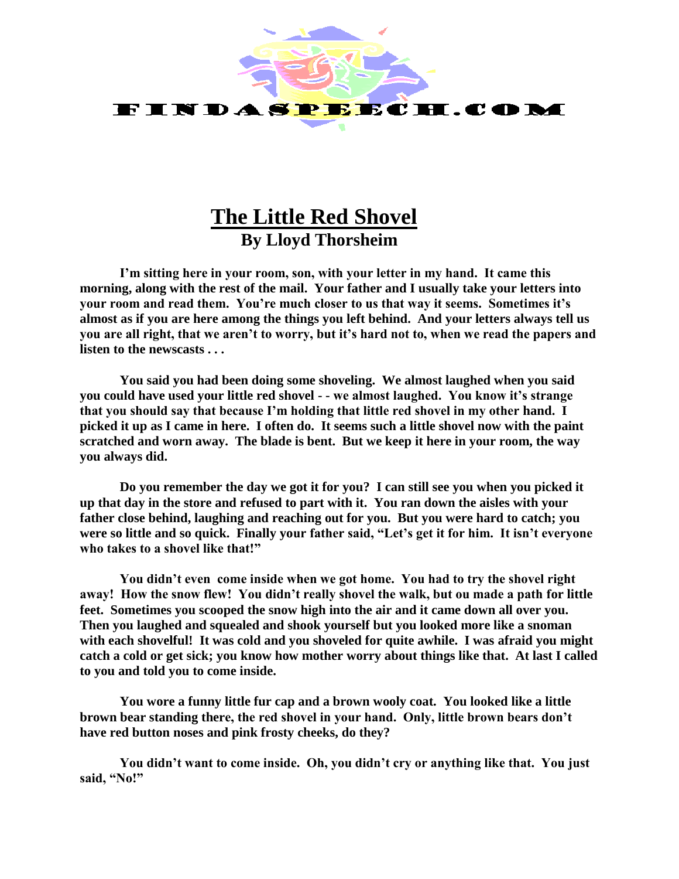

## **The Little Red Shovel By Lloyd Thorsheim**

**I'm sitting here in your room, son, with your letter in my hand. It came this morning, along with the rest of the mail. Your father and I usually take your letters into your room and read them. You're much closer to us that way it seems. Sometimes it's almost as if you are here among the things you left behind. And your letters always tell us you are all right, that we aren't to worry, but it's hard not to, when we read the papers and listen to the newscasts . . .**

**You said you had been doing some shoveling. We almost laughed when you said you could have used your little red shovel - - we almost laughed. You know it's strange that you should say that because I'm holding that little red shovel in my other hand. I picked it up as I came in here. I often do. It seems such a little shovel now with the paint scratched and worn away. The blade is bent. But we keep it here in your room, the way you always did.**

**Do you remember the day we got it for you? I can still see you when you picked it up that day in the store and refused to part with it. You ran down the aisles with your father close behind, laughing and reaching out for you. But you were hard to catch; you were so little and so quick. Finally your father said, "Let's get it for him. It isn't everyone who takes to a shovel like that!"**

**You didn't even come inside when we got home. You had to try the shovel right away! How the snow flew! You didn't really shovel the walk, but ou made a path for little feet. Sometimes you scooped the snow high into the air and it came down all over you. Then you laughed and squealed and shook yourself but you looked more like a snoman with each shovelful! It was cold and you shoveled for quite awhile. I was afraid you might catch a cold or get sick; you know how mother worry about things like that. At last I called to you and told you to come inside.**

**You wore a funny little fur cap and a brown wooly coat. You looked like a little brown bear standing there, the red shovel in your hand. Only, little brown bears don't have red button noses and pink frosty cheeks, do they?**

**You didn't want to come inside. Oh, you didn't cry or anything like that. You just said, "No!"**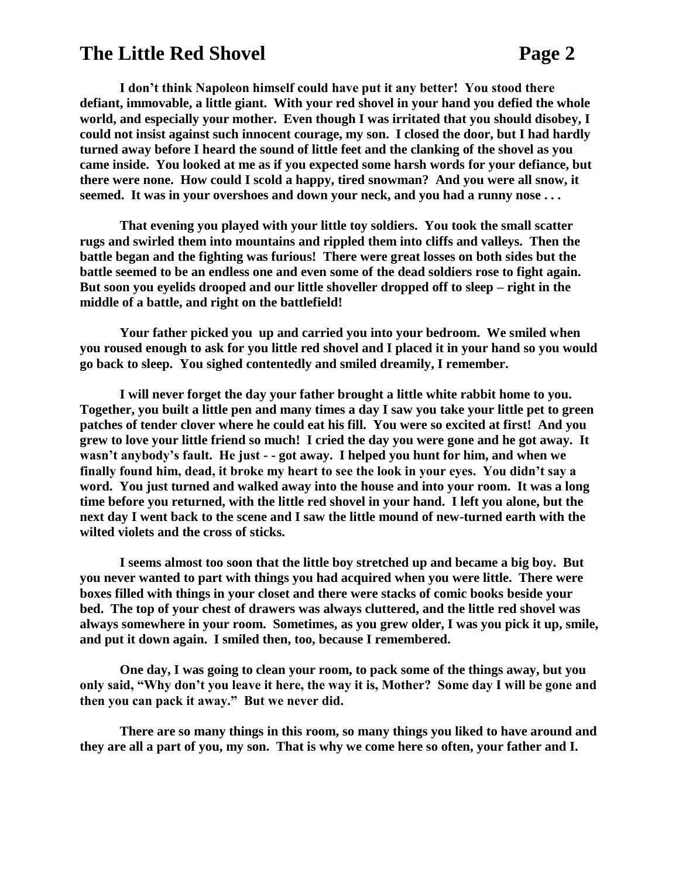## **The Little Red Shovel**  Page 2

**I don't think Napoleon himself could have put it any better! You stood there defiant, immovable, a little giant. With your red shovel in your hand you defied the whole world, and especially your mother. Even though I was irritated that you should disobey, I could not insist against such innocent courage, my son. I closed the door, but I had hardly turned away before I heard the sound of little feet and the clanking of the shovel as you came inside. You looked at me as if you expected some harsh words for your defiance, but there were none. How could I scold a happy, tired snowman? And you were all snow, it seemed. It was in your overshoes and down your neck, and you had a runny nose . . .** 

**That evening you played with your little toy soldiers. You took the small scatter rugs and swirled them into mountains and rippled them into cliffs and valleys. Then the battle began and the fighting was furious! There were great losses on both sides but the battle seemed to be an endless one and even some of the dead soldiers rose to fight again.**  But soon you evelids drooped and our little shoveller dropped off to sleep – right in the **middle of a battle, and right on the battlefield!**

**Your father picked you up and carried you into your bedroom. We smiled when you roused enough to ask for you little red shovel and I placed it in your hand so you would go back to sleep. You sighed contentedly and smiled dreamily, I remember.**

**I will never forget the day your father brought a little white rabbit home to you. Together, you built a little pen and many times a day I saw you take your little pet to green patches of tender clover where he could eat his fill. You were so excited at first! And you grew to love your little friend so much! I cried the day you were gone and he got away. It wasn't anybody's fault. He just - - got away. I helped you hunt for him, and when we finally found him, dead, it broke my heart to see the look in your eyes. You didn't say a word. You just turned and walked away into the house and into your room. It was a long time before you returned, with the little red shovel in your hand. I left you alone, but the next day I went back to the scene and I saw the little mound of new-turned earth with the wilted violets and the cross of sticks.**

**I seems almost too soon that the little boy stretched up and became a big boy. But you never wanted to part with things you had acquired when you were little. There were boxes filled with things in your closet and there were stacks of comic books beside your bed. The top of your chest of drawers was always cluttered, and the little red shovel was always somewhere in your room. Sometimes, as you grew older, I was you pick it up, smile, and put it down again. I smiled then, too, because I remembered.**

**One day, I was going to clean your room, to pack some of the things away, but you only said, "Why don't you leave it here, the way it is, Mother? Some day I will be gone and then you can pack it away." But we never did.**

**There are so many things in this room, so many things you liked to have around and they are all a part of you, my son. That is why we come here so often, your father and I.**